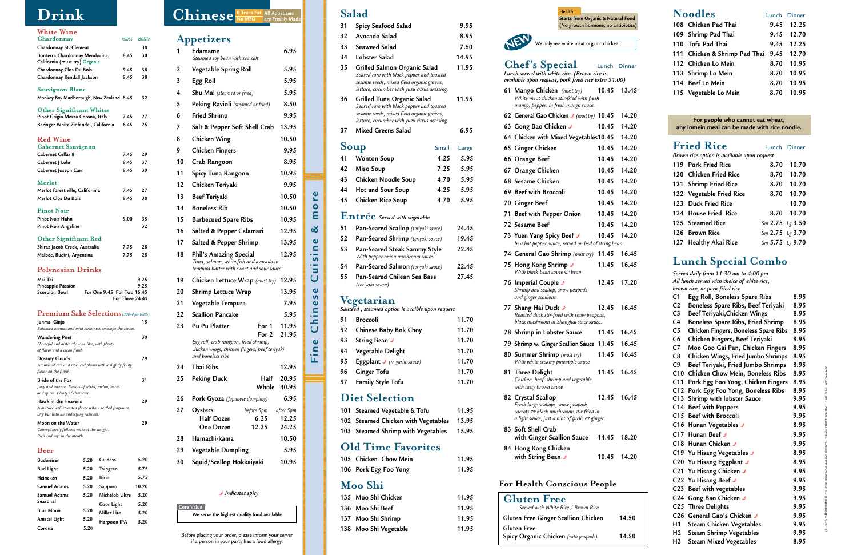# **Salad**

| 31   | Spicy Seafood Salad                                                                                                  | 9.95  |  |
|------|----------------------------------------------------------------------------------------------------------------------|-------|--|
| 32.  | Avocado Salad                                                                                                        | 8.95  |  |
| 33 — | Seaweed Salad                                                                                                        | 7.50  |  |
| 34   | Lobster Salad                                                                                                        | 14.95 |  |
| 35   | Grilled Salmon Organic Salad<br>Seared rare with black pepper and toasted<br>cocamo coode mixod field organic groone | 11.95 |  |

- *sesame seeds, mixed field organic greens, lettuce, cucumber with yuzu citrus dressing.*  **36 Grilled Tuna Organic Salad 11.95** *Seared rare with black pepper and toasted*
- *sesame seeds, mixed field organic greens, lettuce, cucumber with yuzu citrus dressing.*

### **37 Mixed Greens Salad 6.95**

# Soup Small Large

| 41 Wonton Soup         | 4.25 | 5.95 |
|------------------------|------|------|
| 42 Miso Soup           | 7.25 | 5.95 |
| 43 Chicken Noodle Soup | 4.70 | 5.95 |
| 44 Hot and Sour Soup   | 4.25 | 5.95 |
| 45 Chicken Rice Soup   | 4.70 | 5.95 |
|                        |      |      |

### **Entrée** *Served with vegetable*

| 51 | Pan-Seared Scallop (teriyaki sauce)                              | 24.45 |
|----|------------------------------------------------------------------|-------|
| 52 | Pan-Seared Shrimp (teriyaki sauce)                               | 19.45 |
| 53 | Pan-Seared Steak Sammy Style<br>With pepper onion mushroom sauce | 22.45 |
| 54 | <b>Pan-Seared Salmon</b> (teriyaki sauce)                        | 22.45 |
| 55 | Pan-Seared Chilean Sea Bass<br>(teriyaki sauce)                  | 27.45 |
|    | Vegetarian                                                       |       |
|    | Sautéed, steamed option is avaible upon request                  |       |
| 91 | <b>Broccoli</b>                                                  | 11.70 |

|      | 92 Chinese Baby Bok Choy                                | 11.70 |
|------|---------------------------------------------------------|-------|
| 93   | String Bean J                                           | 11.70 |
|      | 94 Vegetable Delight                                    | 11.70 |
| 95 - | <b>Eggplant</b> $\blacktriangleright$ (in garlic sauce) | 11.70 |
| 96   | <b>Ginger Tofu</b>                                      | 11.70 |
| 97 - | Family Style Tofu                                       | 11.70 |
|      |                                                         |       |

# **Diet Selection**

| 101 Steamed Vegetable & Tofu              | 11.95 |
|-------------------------------------------|-------|
| 102 Steamed Chicken with Vegetables 13.95 |       |
| 103 Steamed Shrimp with Vegetables        | 15.95 |

### **Old Time Favorites**

| 105 Chicken Chow Mein | 11.95 |
|-----------------------|-------|
| 106 Pork Egg Foo Yong | 11.95 |

### **Moo Shi**

| 135 Moo Shi Chicken   | 11.95 |
|-----------------------|-------|
| 136 Moo Shi Beef      | 11.95 |
| 137 Moo Shi Shrimp    | 11.95 |
| 138 Moo Shi Vegetable | 11.95 |

**Core Value**

**We serve the highest quality food available.**

|    | Appetizers                                                                                                           |                             |                       |
|----|----------------------------------------------------------------------------------------------------------------------|-----------------------------|-----------------------|
| 1  | Edamame<br>Steamed soy bean with sea salt                                                                            | 6.95                        |                       |
| 2  | Vegetable Spring Roll                                                                                                | 5.95                        |                       |
| 3  | Egg Roll                                                                                                             | 5.95                        |                       |
| 4  | Shu Mai (steamed or fried)                                                                                           | 5.95                        |                       |
| 5  | Peking Ravioli (steamed or fried)                                                                                    | 8.50                        |                       |
| 6  | <b>Fried Shrimp</b>                                                                                                  | 9.95                        |                       |
| 7  | Salt & Pepper Soft Shell Crab                                                                                        | 13.95                       |                       |
| 8  | Chicken Wing                                                                                                         | 10.50                       |                       |
| 9  | <b>Chicken Fingers</b>                                                                                               | 9.95                        |                       |
| 10 | Crab Rangoon                                                                                                         | 8.95                        |                       |
| 11 | Spicy Tuna Rangoon                                                                                                   | 10.95                       |                       |
| 12 | Chicken Teriyaki                                                                                                     | 9.95                        |                       |
| 13 | Beef Teriyaki                                                                                                        | 10.50                       |                       |
| 14 | <b>Boneless Rib</b>                                                                                                  | 10.50                       | more                  |
| 15 | <b>Barbecued Spare Ribs</b>                                                                                          | 10.95                       |                       |
| 16 | Salted & Pepper Calamari                                                                                             | 12.95                       | ಹ                     |
| 17 | Salted & Pepper Shrimp                                                                                               | 13.95                       |                       |
| 18 | Phil's Amazing Special<br>Tuna, salmon, white fish and avocado in<br>tempura batter with sweet and sour sauce        | 12.95                       | Cuisine               |
| 19 | Chicken Lettuce Wrap (must try) 12.95                                                                                |                             |                       |
| 20 | Shrimp Lettuce Wrap                                                                                                  | 13.95                       | $\mathbf{Q}$          |
| 21 | Vegetable Tempura                                                                                                    | 7.95                        | <b>S</b><br>$\bullet$ |
| 22 | <b>Scallion Pancake</b>                                                                                              | 5.95                        |                       |
| 23 | Pu Pu Platter<br>For 1                                                                                               | 11.95                       | $\overline{C}$        |
|    | For 2<br>Egg roll, crab rangoon, fried shrimp,<br>chicken wings, chicken fingers, beef teriyaki<br>and boneless ribs | 21.95                       | $\bullet$<br>ட        |
| 24 | Thai Ribs                                                                                                            | 12.95                       |                       |
| 25 | <b>Peking Duck</b><br>Half<br>Whole                                                                                  | 20.95<br>40.95              |                       |
| 26 | Pork Gyoza (Japanese dumpling)                                                                                       | 6.95                        |                       |
| 27 | Oysters<br>before 5pm<br><b>Half Dozen</b><br>6.25<br>12.25<br><b>One Dozen</b>                                      | after 5pm<br>12.25<br>24.25 |                       |
| 28 | Hamachi-kama                                                                                                         | 10.50                       |                       |
| 29 | Vegetable Dumpling                                                                                                   | 5.95                        |                       |
| 30 | Squid/Scallop Hokkaiyaki                                                                                             | 10.95                       |                       |

Chinese<sup><sup>O Trans Fat</sup></sup>

**No MSG**

**All Appetizers are Freshly Made** 

#### *D* Indicates spicy





| Shrimp and scallop, show peapoas                                               |       |       |                | $\sigma$ of $\sigma$ and $\sigma$ are $\sigma$ and $\sigma$ are $\sigma$ |      |
|--------------------------------------------------------------------------------|-------|-------|----------------|--------------------------------------------------------------------------|------|
| and ginger scallions                                                           |       |       | C <sub>1</sub> | Egg Roll, Boneless Spare Ribs                                            | 8.95 |
| 77 Shang Hai Duck J                                                            | 12.45 | 16.45 | C <sub>2</sub> | Boneless Spare Ribs, Beef Teriyaki                                       | 8.95 |
| Roasted duck stir-fried with snow peapods,                                     |       |       | C <sub>3</sub> | Beef Teriyaki, Chicken Wings                                             | 8.95 |
| black mushroom in Shanghai spicy sauce.                                        |       |       | C4             | Boneless Spare Ribs, Fried Shrimp                                        | 8.95 |
| 78 Shrimp in Lobster Sauce                                                     | 11.45 | 16.45 | C <sub>5</sub> | Chicken Fingers, Boneless Spare Ribs                                     | 8.95 |
| 79 Shrimp w. Ginger Scallion Sauce 11.45                                       |       | 16.45 | C6             | Chicken Fingers, Beef Teriyaki                                           | 8.95 |
|                                                                                |       |       | C7             | Moo Goo Gai Pan, Chicken Fingers                                         | 8.95 |
| 80 Summer Shrimp (must try)<br>With white creamy pineapple sauce               | 11.45 | 16.45 | C8             | Chicken Wings, Fried Jumbo Shrimps                                       | 8.95 |
|                                                                                |       |       | C9             | Beef Teriyaki, Fried Jumbo Shrimps                                       | 8.95 |
| 81 Three Delight                                                               | 11.45 | 16.45 |                | C10 Chicken Chow Mein, Boneless Ribs                                     | 8.95 |
| Chicken, beef, shrimp and vegetable<br>with tasty brown sauce                  |       |       |                | C11 Pork Egg Foo Yong, Chicken Fingers                                   | 8.95 |
|                                                                                |       |       |                | C12 Pork Egg Foo Yong, Boneless Ribs                                     | 8.95 |
| 82 Crystal Scallop                                                             | 12.45 | 16.45 |                | C13 Shrimp with lobster Sauce                                            | 9.95 |
| Fresh large scallops, snow peapods,<br>carrots & black mushrooms stir-fried in |       |       |                | C14 Beef with Peppers                                                    | 9.95 |
| a light sauce, just a hint of garlic $\mathfrak O$ ginger.                     |       |       |                | C15 Beef with Broccoli                                                   | 9.95 |
| 83 Soft Shell Crab                                                             |       |       |                | C16 Hunan Vegetables J                                                   | 8.95 |
| with Ginger Scallion Sauce                                                     | 14.45 | 18.20 |                | C17 Hunan Beef $\triangle$                                               | 9.95 |
|                                                                                |       |       |                | C18 Hunan Chicken ♪                                                      | 9.95 |
| 84 Hong Kong Chicken                                                           |       |       |                | C19 Yu Hisang Vegetables ♪                                               | 8.95 |
| with String Bean J                                                             | 10.45 | 14.20 |                | C20 Yu Hisang Eggplant ♪                                                 | 8.95 |
|                                                                                |       |       |                | C21 Yu Hisang Chicken ♪                                                  | 9.95 |
|                                                                                |       |       |                | C22 Yu Hisang Beef ♪                                                     | 9.95 |
| <b>For Health Conscious People</b>                                             |       |       |                | C23 Beef with vegetables                                                 | 9.95 |
| <b>Gluten Free</b>                                                             |       |       |                | C24 Gong Bao Chicken ♪                                                   | 9.95 |
| Served with White Rice / Brown Rice                                            |       |       |                | C25 Three Delights                                                       | 9.95 |
| Gluten Free Ginger Scallion Chicken                                            |       | 14.50 |                | C26 General Gao's Chicken J                                              | 9.95 |
| <b>Gluten Free</b>                                                             |       |       | H1             | Steam Chicken Vegetables                                                 | 9.95 |
| Spicy Organic Chicken (with peapods)                                           |       | 14.50 | H <sub>2</sub> | <b>Steam Shrimp Vegetables</b>                                           | 9.95 |
|                                                                                |       |       | H <sub>3</sub> | <b>Steam Mixed Vegetables</b>                                            | 8.95 |

| <b>Noodles</b>                |      | Lunch Dinner |
|-------------------------------|------|--------------|
| 108 Chicken Pad Thai          |      | 9.45 12.25   |
| 109 Shrimp Pad Thai           |      | 9.45 12.70   |
| 110 Tofu Pad Thai             |      | 9.45 12.25   |
| 111 Chicken & Shrimp Pad Thai |      | 9.45 12.70   |
| 112 Chicken Lo Mein           |      | 8.70 10.95   |
| 113 Shrimp Lo Mein            |      | 8.70 10.95   |
| 114 Beef Lo Mein              |      | 8.70 10.95   |
| 115 Vegetable Lo Mein         | 8.70 | 10.95        |

| U<br>0 | For people who cannot eat wheat,<br>any lomein meal can be made with rice noodle. |                   |  |  |  |
|--------|-----------------------------------------------------------------------------------|-------------------|--|--|--|
| 0<br>0 | <b>Fried Rice</b><br>Brown rice option is available upon request                  | Lunch Dinner      |  |  |  |
| 0      | 119 Pork Fried Rice                                                               | 10.70<br>8.70     |  |  |  |
| 0      | 120 Chicken Fried Rice                                                            | 10.70<br>8.70     |  |  |  |
| 0      | 121 Shrimp Fried Rice                                                             | 10.70<br>8.70     |  |  |  |
| 0      | 122 Vegetable Fried Rice                                                          | 10.70<br>8.70     |  |  |  |
| 0      | 123 Duck Fried Rice                                                               | 10.70             |  |  |  |
| 0      | 124 House Fried Rice                                                              | 8.70<br>10.70     |  |  |  |
| 0      | 125 Steamed Rice                                                                  | $Sm$ 2.75 Lg 3.50 |  |  |  |
| 0      | 126 Brown Rice                                                                    | Sm 2.75 Lg 3.70   |  |  |  |
|        | 127 Healthy Akai Rice                                                             | Sm 5.75 Lg 9.70   |  |  |  |
|        |                                                                                   |                   |  |  |  |

# **Lunch Special Combo**

*Served daily from 11:30 am to 4:00 pm All lunch served with choice of white rice, brown rice, or pork fried rice*

# **Chef's Special** Lunch Dinner

*Lunch served with white rice. (Brown rice is available upon request; pork fried rice extra \$1.00)*

|    | 61 Mango Chicken (must try)<br>White meat chicken stir-fried with fresh<br>mango, pepper. In fresh mango sauce.                                        | 10.45       | 13.45 |
|----|--------------------------------------------------------------------------------------------------------------------------------------------------------|-------------|-------|
|    | 62 General Gao Chicken $\blacktriangleright$ (must try) 10.45                                                                                          |             | 14.20 |
|    | 63 Gong Bao Chicken ♪                                                                                                                                  | 10.45       | 14.20 |
|    | 64 Chicken with Mixed Vegetables10.45                                                                                                                  |             | 14.20 |
|    | 65 Ginger Chicken                                                                                                                                      | 10.45       | 14.20 |
|    | 66 Orange Beef                                                                                                                                         | 10.45       | 14.20 |
|    | 67 Orange Chicken                                                                                                                                      | 10.45       | 14.20 |
|    | 68 Sesame Chicken                                                                                                                                      | 10.45       | 14.20 |
|    | 69 Beef with Broccoli                                                                                                                                  | 10.45       | 14.20 |
|    | 70 Ginger Beef                                                                                                                                         | 10.45       | 14.20 |
| 71 | <b>Beef with Pepper Onion</b>                                                                                                                          | 10.45       | 14.20 |
|    | 72 Sesame Beef                                                                                                                                         | 10.45       | 14.20 |
|    | 73 Yuen Yang Spicy Beef &<br>In a hot pepper sauce, served on bed of string bean                                                                       | 10.45       | 14.20 |
|    | 74 General Gao Shrimp (must try)                                                                                                                       | 11.45       | 16.45 |
|    | 75 Hong Kong Shrimp ♪<br>With black bean sauce & bean                                                                                                  | 11.45       | 16.45 |
|    | 76 Imperial Couple J<br>Shrimp and scallop, snow peapods<br>and ginger scallions                                                                       | 12.45       | 17.20 |
|    | 77 Shang Hai Duck ♪<br>Roasted duck stir-fried with snow peapods,<br>black mushroom in Shanghai spicy sauce.                                           | 12.45       | 16.45 |
|    | 78 Shrimp in Lobster Sauce                                                                                                                             | 11.45       | 16.45 |
|    | 79 Shrimp w. Ginger Scallion Sauce                                                                                                                     | 11.45       | 16.45 |
| 80 | <b>Summer Shrimp</b> (must try)<br>With white creamy pineapple sauce                                                                                   | 11.45       | 16.45 |
|    | 81 Three Delight<br>Chicken, beef, shrimp and vegetable<br>with tasty brown sauce                                                                      | 11.45       | 16.45 |
|    | 82 Crystal Scallop<br>Fresh large scallops, snow peapods,<br>carrots & black mushrooms stir-fried in<br>a light sauce, just a hint of garlic & ginger. | 12.45       | 16.45 |
|    | 83 Soft Shell Crab<br>with Ginger Scallion Sauce                                                                                                       | 14.45       | 18.20 |
|    | 84 Hong Kong Chicken<br>with String Bean J                                                                                                             | 10.45 14.20 |       |
|    | <b>For Health Conscious People</b>                                                                                                                     |             |       |

Before placing your order, please inform your server if a person in your party has a food allergy.

# **Drink**

| <b>Budweiser</b>                                                                                                             | 5.20 | Guiness                    |                 | 5.20         |
|------------------------------------------------------------------------------------------------------------------------------|------|----------------------------|-----------------|--------------|
| Beer                                                                                                                         |      |                            |                 |              |
| Moon on the Water<br>Conveys lovely fullness without the weight.<br>Rich and soft in the mouth.                              |      |                            |                 | 29           |
| Hawk in the Heavens<br>A mature well-rounded flavor with a settled fragrance.<br>Dry but with an underlying richness.        |      |                            |                 | 29           |
| <b>Bride of the Fox</b><br>Juicy and intense. Flavors of citrus, melon, herbs<br>and spices. Plenty of character.            |      |                            |                 | 31           |
| Dreamy Clouds<br>Aromas of rice and ripe, red plums with a slightly fruity<br>flavor on the finish.                          |      |                            |                 | 29           |
| <b>Wandering Poet</b><br>Flavorful and distinctly wine-like, with plenty<br>of flavor and a clean finish.                    |      |                            |                 | 30           |
| <b>Premium Sake Selections</b> (300ml per bottle)<br>Junmai Ginjo<br>Balanced aromas and mild sweetness envelope the senses. |      |                            |                 | 15           |
| <b>Pineapple Passion</b><br>Scorpion Bowl                                                                                    |      | For One 9.45 For Two 16.45 | For Three 24.45 | 9.25         |
| <b>Polynesian Drinks</b><br>Mai Tai                                                                                          |      |                            |                 | 9.25         |
| Shiraz Jacob Creek, Australia<br>Malbec, Budini, Argentina                                                                   |      |                            | 7.75<br>7.75    | 28<br>28     |
| Pinot Noir Hahn<br><b>Pinot Noir Angeline</b><br><b>Other Significant Red</b>                                                |      |                            | 9.00            | 35<br>32     |
| <b>Pinot Noir</b>                                                                                                            |      |                            |                 |              |
| Merlot<br>Merlot forest ville, Califorinia<br>Merlot Clos Du Bois                                                            |      |                            | 7.45<br>9.45    | 27<br>38     |
| Cabernet J Lohr<br>Cabernet Joseph Carr                                                                                      |      |                            | 9.45<br>9.45    | 37<br>39     |
| <b>Red Wine</b><br><b>Cabernet Sauvignon</b><br>Cabernet Cellar 8                                                            |      |                            | 7.45            | 29           |
| Pinot Grigio Mezza Corona, Italy<br>Beringer White Zinfandel, California                                                     |      |                            | 7.45<br>6.45    | 27<br>25     |
| <b>Sauvignon Blanc</b><br>Monkey Bay Marlborough, New Zealand 8.45<br><b>Other Significant Whites</b>                        |      |                            |                 | 32           |
| Chardonnay Kendall Jackson                                                                                                   |      |                            | 9.45            | 38           |
| Bonterra Chardonnay Mendocina,<br>California (must try) Organic<br>Chardonnay Clos Du Bois                                   |      |                            | 8.45<br>9.45    | 30<br>38     |
| Chardonnay<br>Chardonnay St. Clement                                                                                         |      |                            | Glass           | Bottle<br>38 |
| <b>White Wine</b>                                                                                                            |      |                            |                 |              |

|      |                    | 5.20    |
|------|--------------------|---------|
| 5.20 | Tsingtao           | 5.75    |
| 5.20 | Kirin              | 5.75    |
| 5.20 | Sapporo            | 10.20   |
| 5.20 | Michelob Ultre     | 5.20    |
|      | Coor Light         | 5.20    |
| 5.20 | <b>Miller Lite</b> | 5.20    |
| 5.20 | Harpoon IPA        | 5.20    |
| 5.20 |                    |         |
|      | 5.20               | Guiness |